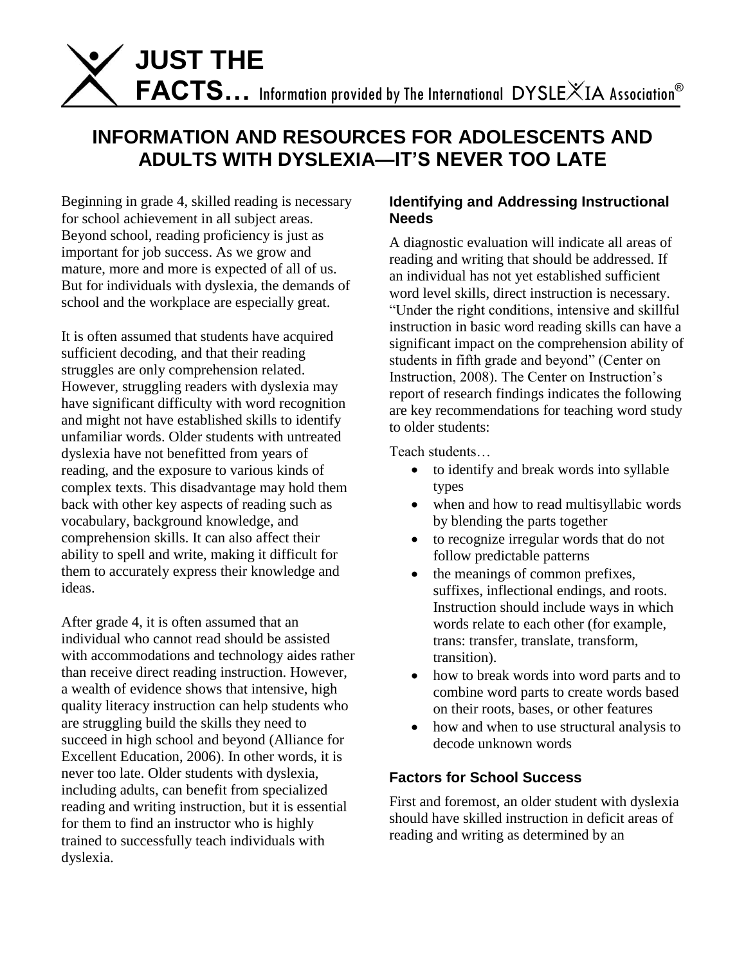

# **INFORMATION AND RESOURCES FOR ADOLESCENTS AND ADULTS WITH DYSLEXIA—IT'S NEVER TOO LATE**

Beginning in grade 4, skilled reading is necessary for school achievement in all subject areas. Beyond school, reading proficiency is just as important for job success. As we grow and mature, more and more is expected of all of us. But for individuals with dyslexia, the demands of school and the workplace are especially great.

It is often assumed that students have acquired sufficient decoding, and that their reading struggles are only comprehension related. However, struggling readers with dyslexia may have significant difficulty with word recognition and might not have established skills to identify unfamiliar words. Older students with untreated dyslexia have not benefitted from years of reading, and the exposure to various kinds of complex texts. This disadvantage may hold them back with other key aspects of reading such as vocabulary, background knowledge, and comprehension skills. It can also affect their ability to spell and write, making it difficult for them to accurately express their knowledge and ideas.

After grade 4, it is often assumed that an individual who cannot read should be assisted with accommodations and technology aides rather than receive direct reading instruction. However, a wealth of evidence shows that intensive, high quality literacy instruction can help students who are struggling build the skills they need to succeed in high school and beyond (Alliance for Excellent Education, 2006). In other words, it is never too late. Older students with dyslexia, including adults, can benefit from specialized reading and writing instruction, but it is essential for them to find an instructor who is highly trained to successfully teach individuals with dyslexia.

## **Identifying and Addressing Instructional Needs**

A diagnostic evaluation will indicate all areas of reading and writing that should be addressed. If an individual has not yet established sufficient word level skills, direct instruction is necessary. "Under the right conditions, intensive and skillful instruction in basic word reading skills can have a significant impact on the comprehension ability of students in fifth grade and beyond" (Center on Instruction, 2008). The Center on Instruction's report of research findings indicates the following are key recommendations for teaching word study to older students:

Teach students…

- to identify and break words into syllable types
- when and how to read multisyllabic words by blending the parts together
- to recognize irregular words that do not follow predictable patterns
- the meanings of common prefixes, suffixes, inflectional endings, and roots. Instruction should include ways in which words relate to each other (for example, trans: transfer, translate, transform, transition).
- how to break words into word parts and to combine word parts to create words based on their roots, bases, or other features
- how and when to use structural analysis to decode unknown words

# **Factors for School Success**

First and foremost, an older student with dyslexia should have skilled instruction in deficit areas of reading and writing as determined by an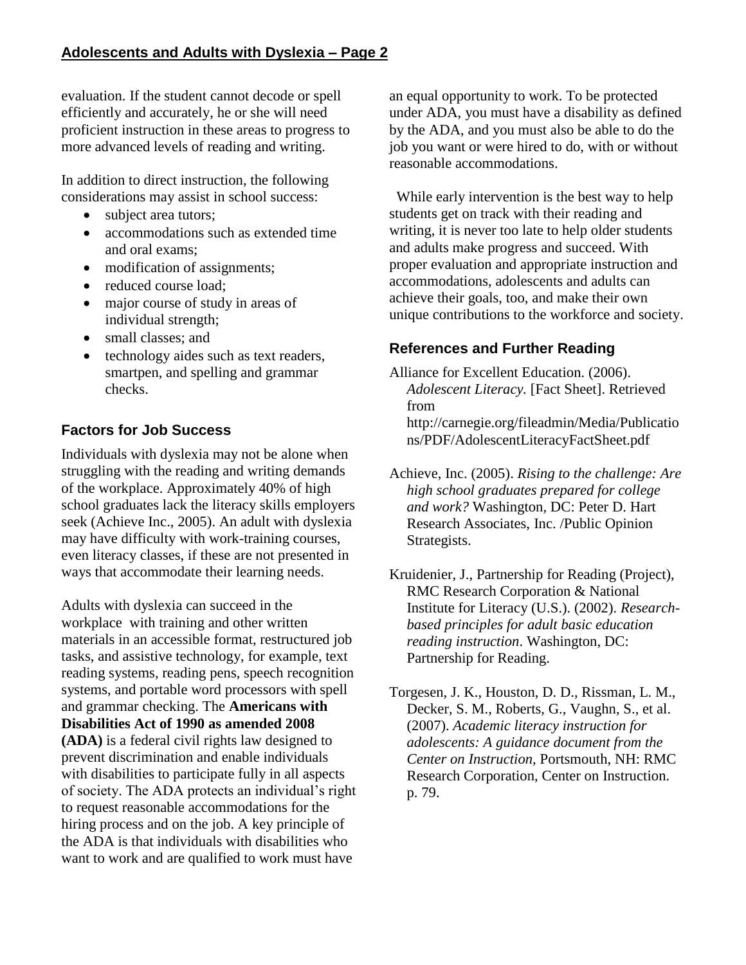evaluation. If the student cannot decode or spell efficiently and accurately, he or she will need proficient instruction in these areas to progress to more advanced levels of reading and writing.

In addition to direct instruction, the following considerations may assist in school success:

- subject area tutors;
- accommodations such as extended time and oral exams;
- modification of assignments;
- reduced course load;
- major course of study in areas of individual strength;
- small classes: and
- technology aides such as text readers, smartpen, and spelling and grammar checks.

# **Factors for Job Success**

Individuals with dyslexia may not be alone when struggling with the reading and writing demands of the workplace. Approximately 40% of high school graduates lack the literacy skills employers seek (Achieve Inc., 2005). An adult with dyslexia may have difficulty with work-training courses, even literacy classes, if these are not presented in ways that accommodate their learning needs.

Adults with dyslexia can succeed in the workplace with training and other written materials in an accessible format, restructured job tasks, and assistive technology, for example, text reading systems, reading pens, speech recognition systems, and portable word processors with spell and grammar checking. The **Americans with Disabilities Act of 1990 as amended 2008 (ADA)** is a federal civil rights law designed to prevent discrimination and enable individuals with disabilities to participate fully in all aspects of society. The ADA protects an individual's right to request reasonable accommodations for the hiring process and on the job. A key principle of the ADA is that individuals with disabilities who want to work and are qualified to work must have

an equal opportunity to work. To be protected under ADA, you must have a disability as defined by the ADA, and you must also be able to do the job you want or were hired to do, with or without reasonable accommodations.

 While early intervention is the best way to help students get on track with their reading and writing, it is never too late to help older students and adults make progress and succeed. With proper evaluation and appropriate instruction and accommodations, adolescents and adults can achieve their goals, too, and make their own unique contributions to the workforce and society.

# **References and Further Reading**

- Alliance for Excellent Education. (2006). *Adolescent Literacy.* [Fact Sheet]. Retrieved from http://carnegie.org/fileadmin/Media/Publicatio ns/PDF/AdolescentLiteracyFactSheet.pdf
- Achieve, Inc. (2005). *Rising to the challenge: Are high school graduates prepared for college and work?* Washington, DC: Peter D. Hart Research Associates, Inc. /Public Opinion Strategists.
- Kruidenier, J., Partnership for Reading (Project), RMC Research Corporation & National Institute for Literacy (U.S.). (2002). *Researchbased principles for adult basic education reading instruction*. Washington, DC: Partnership for Reading.
- Torgesen, J. K., Houston, D. D., Rissman, L. M., Decker, S. M., Roberts, G., Vaughn, S., et al. (2007). *Academic literacy instruction for adolescents: A guidance document from the Center on Instruction,* Portsmouth, NH: RMC Research Corporation, Center on Instruction. p. 79.